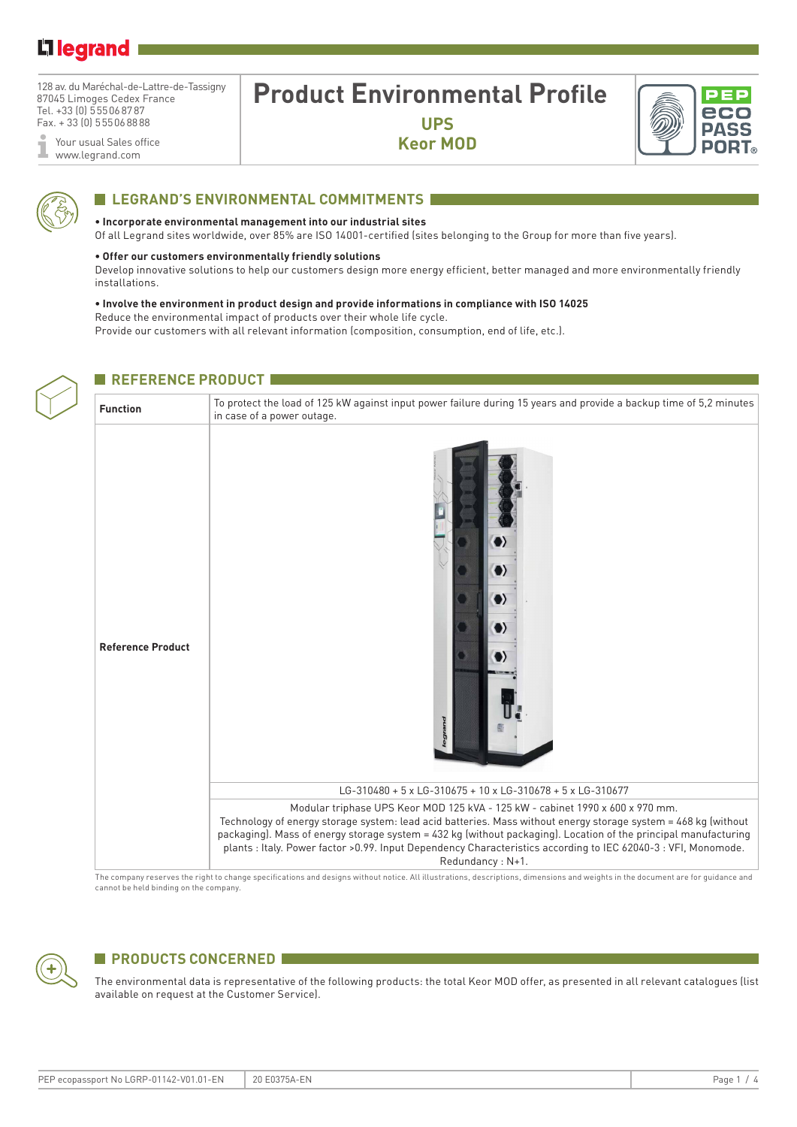### Li legrand

128 av. du Maréchal-de-Lattre-de-Tassigny 87045 Limoges Cedex France Tel. +33 (0) 555068787 Fax. + 33 (0) 555068888

Your usual Sales office www.legrand.com

## **Product Environmental Profile**

**UPS Keor MOD**



#### **ELEGRAND'S ENVIRONMENTAL COMMITMENTS**

#### **• Incorporate environmental management into our industrial sites**

Of all Legrand sites worldwide, over 85% are ISO 14001-certified (sites belonging to the Group for more than five years).

#### **• Offer our customers environmentally friendly solutions**

Develop innovative solutions to help our customers design more energy efficient, better managed and more environmentally friendly installations.

#### **• Involve the environment in product design and provide informations in compliance with ISO 14025** Reduce the environmental impact of products over their whole life cycle.

Provide our customers with all relevant information (composition, consumption, end of life, etc.).

#### **REFERENCE PRODUCT**

# **Function** To protect the load of 125 kW against input power failure during 15 years and provide a backup time of 5,2 minutes in case of a power outage. O **Reference Product** LG-310480 + 5 x LG-310675 + 10 x LG-310678 + 5 x LG-310677 Modular triphase UPS Keor MOD 125 kVA - 125 kW - cabinet 1990 x 600 x 970 mm. Technology of energy storage system: lead acid batteries. Mass without energy storage system = 468 kg (without packaging). Mass of energy storage system = 432 kg (without packaging). Location of the principal manufacturing plants : Italy. Power factor >0.99. Input Dependency Characteristics according to IEC 62040-3 : VFI, Monomode. Redundancy : N+1.

The company reserves the right to change specifications and designs without notice. All illustrations, descriptions, dimensions and weights in the document are for guidance and cannot be held binding on the company.

#### **PRODUCTS CONCERNED**

The environmental data is representative of the following products: the total Keor MOD offer, as presented in all relevant catalogues (list available on request at the Customer Service).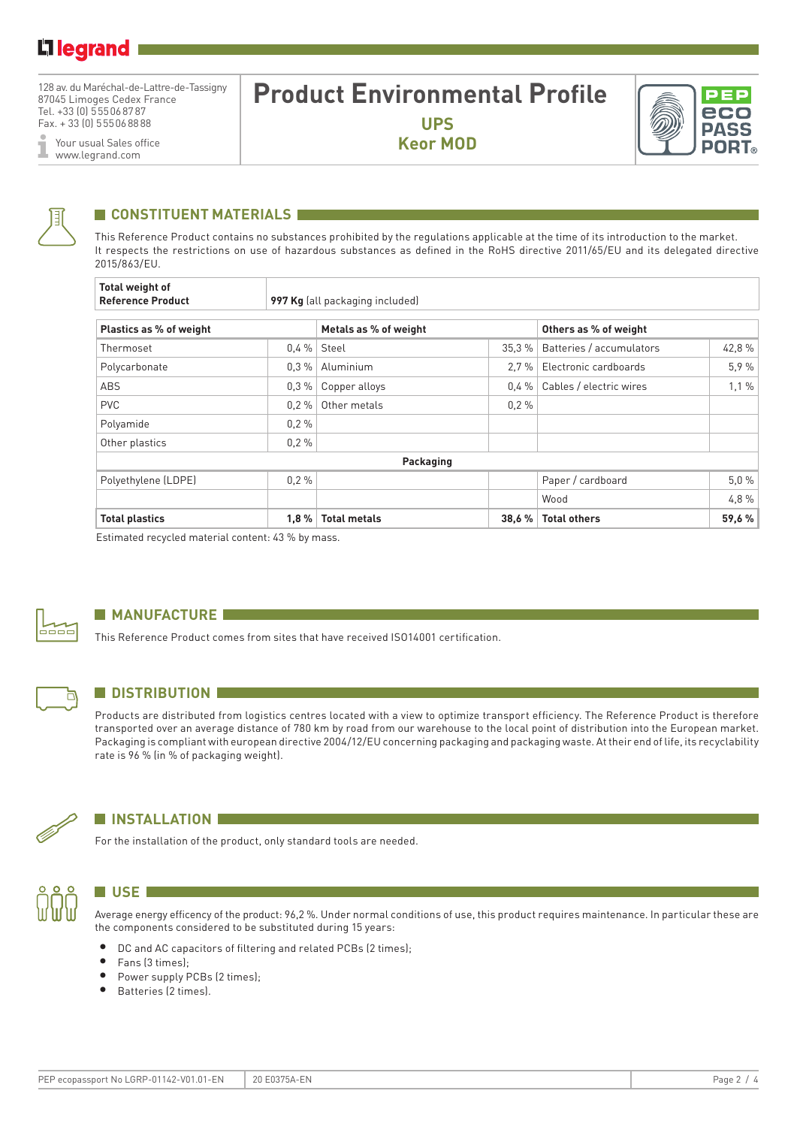128 av. du Maréchal-de-Lattre-de-Tassigny 87045 Limoges Cedex France Tel. +33 (0) 555068787 Fax. + 33 (0) 555068888

Your usual Sales office I www.legrand.com

### **Product Environmental Profile UPS**

**Keor MOD**





#### **CONSTITUENT MATERIALS**

This Reference Product contains no substances prohibited by the regulations applicable at the time of its introduction to the market. It respects the restrictions on use of hazardous substances as defined in the RoHS directive 2011/65/EU and its delegated directive 2015/863/EU.

| <b>Total weight of</b><br><b>Reference Product</b> |         | 997 Kg (all packaging included) |          |                          |        |  |
|----------------------------------------------------|---------|---------------------------------|----------|--------------------------|--------|--|
| Plastics as % of weight                            |         | Metals as % of weight           |          | Others as % of weight    |        |  |
| Thermoset                                          | $0.4\%$ | Steel                           | 35,3%    | Batteries / accumulators | 42,8%  |  |
| Polycarbonate                                      | $0.3\%$ | Aluminium                       | 2.7%     | Electronic cardboards    | 5.9%   |  |
| ABS                                                | $0.3\%$ | Copper alloys                   | $0.4 \%$ | Cables / electric wires  | 1,1%   |  |
| <b>PVC</b>                                         | $0.2\%$ | 0.2%<br>Other metals            |          |                          |        |  |
| Polyamide                                          | 0.2%    |                                 |          |                          |        |  |
| Other plastics                                     | 0.2%    |                                 |          |                          |        |  |
|                                                    |         | Packaging                       |          |                          |        |  |
| Polyethylene (LDPE)                                | 0.2%    |                                 |          | Paper / cardboard        | 5,0%   |  |
|                                                    |         |                                 |          | Wood                     | 4.8%   |  |
| <b>Total plastics</b>                              | 1,8%    | <b>Total metals</b>             | 38,6 %   | <b>Total others</b>      | 59,6 % |  |

Estimated recycled material content: 43 % by mass.



#### **MANUFACTURE**

This Reference Product comes from sites that have received ISO14001 certification.



#### **N** DISTRIBUTION

Products are distributed from logistics centres located with a view to optimize transport efficiency. The Reference Product is therefore transported over an average distance of 780 km by road from our warehouse to the local point of distribution into the European market. Packaging is compliant with european directive 2004/12/EU concerning packaging and packaging waste. At their end of life, its recyclability rate is 96 % (in % of packaging weight).



#### **N** INSTALLATION

For the installation of the product, only standard tools are needed.



#### **N** USE **1**

Average energy efficency of the product: 96,2 %. Under normal conditions of use, this product requires maintenance. In particular these are the components considered to be substituted during 15 years:

- DC and AC capacitors of filtering and related PCBs (2 times);
- Fans (3 times);
- Power supply PCBs (2 times);
- Batteries (2 times).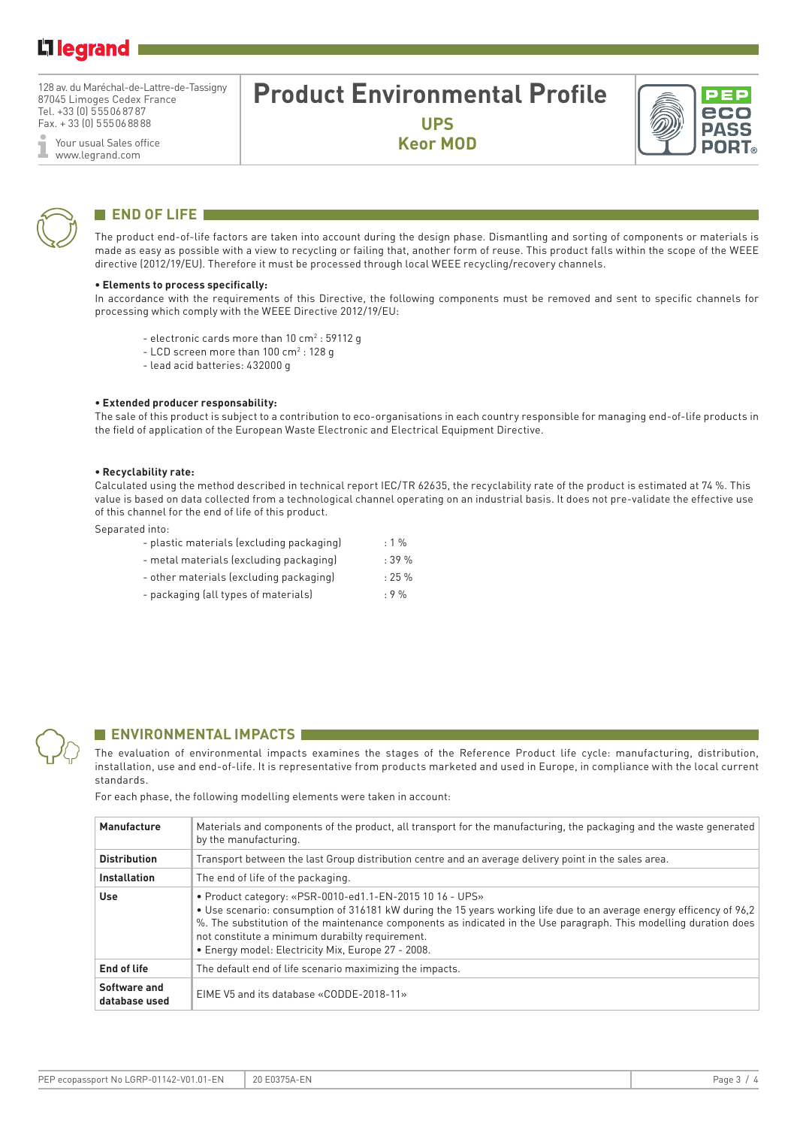128 av. du Maréchal-de-Lattre-de-Tassigny 87045 Limoges Cedex France Tel. +33 (0) 555068787 Fax. + 33 (0) 555068888

Your usual Sales office ī www.legrand.com

### **Product Environmental Profile UPS**

**Keor MOD**





#### **END OF LIFE**

The product end-of-life factors are taken into account during the design phase. Dismantling and sorting of components or materials is made as easy as possible with a view to recycling or failing that, another form of reuse. This product falls within the scope of the WEEE directive (2012/19/EU). Therefore it must be processed through local WEEE recycling/recovery channels.

#### **• Elements to process specifically:**

In accordance with the requirements of this Directive, the following components must be removed and sent to specific channels for processing which comply with the WEEE Directive 2012/19/EU:

- electronic cards more than  $10 \text{ cm}^2$  : 59112 g
- $-$  LCD screen more than 100 cm<sup>2</sup> : 128 g
- lead acid batteries: 432000 g

#### **• Extended producer responsability:**

The sale of this product is subject to a contribution to eco-organisations in each country responsible for managing end-of-life products in the field of application of the European Waste Electronic and Electrical Equipment Directive.

#### **• Recyclability rate:**

Calculated using the method described in technical report IEC/TR 62635, the recyclability rate of the product is estimated at 74 %. This value is based on data collected from a technological channel operating on an industrial basis. It does not pre-validate the effective use of this channel for the end of life of this product.

Separated into:

|  | - plastic materials (excluding packaging) | $: 1 \%$ |
|--|-------------------------------------------|----------|
|--|-------------------------------------------|----------|

- metal materials (excluding packaging) : 39 %
- other materials (excluding packaging) : 25 %
- packaging (all types of materials) : 9 %



#### **ENVIRONMENTAL IMPACTS**

The evaluation of environmental impacts examines the stages of the Reference Product life cycle: manufacturing, distribution, installation, use and end-of-life. It is representative from products marketed and used in Europe, in compliance with the local current standards.

For each phase, the following modelling elements were taken in account:

| Manufacture                   | Materials and components of the product, all transport for the manufacturing, the packaging and the waste generated<br>by the manufacturing.                                                                                                                                                                                                                                                                   |
|-------------------------------|----------------------------------------------------------------------------------------------------------------------------------------------------------------------------------------------------------------------------------------------------------------------------------------------------------------------------------------------------------------------------------------------------------------|
| <b>Distribution</b>           | Transport between the last Group distribution centre and an average delivery point in the sales area.                                                                                                                                                                                                                                                                                                          |
| <b>Installation</b>           | The end of life of the packaging.                                                                                                                                                                                                                                                                                                                                                                              |
| Use                           | • Product category: «PSR-0010-ed1.1-EN-2015 10 16 - UPS»<br>• Use scenario: consumption of 316181 kW during the 15 years working life due to an average energy efficency of 96,2<br>%. The substitution of the maintenance components as indicated in the Use paragraph. This modelling duration does<br>not constitute a minimum durabilty requirement.<br>• Energy model: Electricity Mix, Europe 27 - 2008. |
| End of life                   | The default end of life scenario maximizing the impacts.                                                                                                                                                                                                                                                                                                                                                       |
| Software and<br>database used | EIME V5 and its database «CODDE-2018-11»                                                                                                                                                                                                                                                                                                                                                                       |